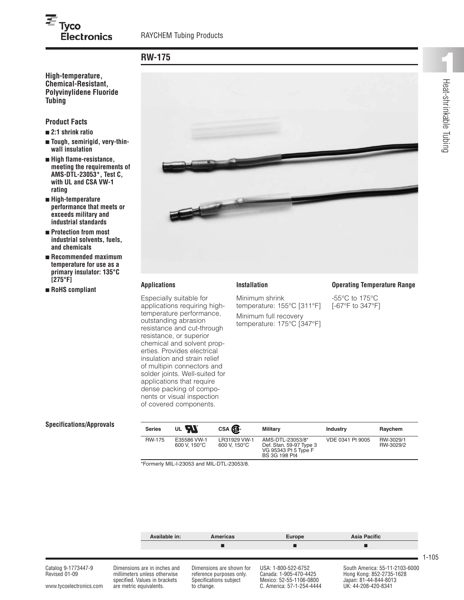# $\overline{\boldsymbol{\varepsilon}}_{\mathsf{Tyco}}$ **Electronics**

# **RW-175**

**Chemical-Resistant, Polyvinylidene Fluoride Tubing**

## **Product Facts**

- **■ 2:1 shrink ratio**
- **■ Tough, semirigid, very-thinwall insulation**
- **■ High flame-resistance, meeting the requirements of AMS-DTL-23053\*, Test C, with UL and CSA VW-1 rating**
- **■ High-temperature performance that meets or exceeds military and industrial standards**
- **■ Protection from most industrial solvents, fuels, and chemicals**
- **■ Recommended maximum temperature for use as a primary insulator: 135°C [275°F]**
- **■ RoHS compliant Installation**



### **Applications**

Especially suitable for applications requiring hightemperature performance, outstanding abrasion resistance and cut-through resistance, or superior chemical and solvent properties. Provides electrical insulation and strain relief of multipin connectors and solder joints. Well-suited for applications that require dense packing of components or visual inspection of covered components.

Minimum shrink temperature: 155°C [311°F] Minimum full recovery temperature: 175°C [347°F]

#### **Operating Temperature Range**

-55°C to 175°C [-67°F to 347°F]

### **Specifications/Approvals**

| E35586 VW-1<br>RW-3029/1<br><b>RW-175</b><br>LR31929 VW-1<br>AMS-DTL-23053/8*<br>VDE 0341 Pt 9005<br>600 V. 150°C<br>600 V. 150°C<br>RW-3029/2<br>Def. Stan. 59-97 Type 3<br>VG 95343 Pt 5 Type F<br><b>BS 3G 198 Pt4</b> | <b>Series</b> | UL <b>FAX</b> | CSA <b>SP</b> | Militarv | <b>Industry</b> | Raychem |
|---------------------------------------------------------------------------------------------------------------------------------------------------------------------------------------------------------------------------|---------------|---------------|---------------|----------|-----------------|---------|
|                                                                                                                                                                                                                           |               |               |               |          |                 |         |

\*Formerly MIL-I-23053 and MIL-DTL-23053/8.